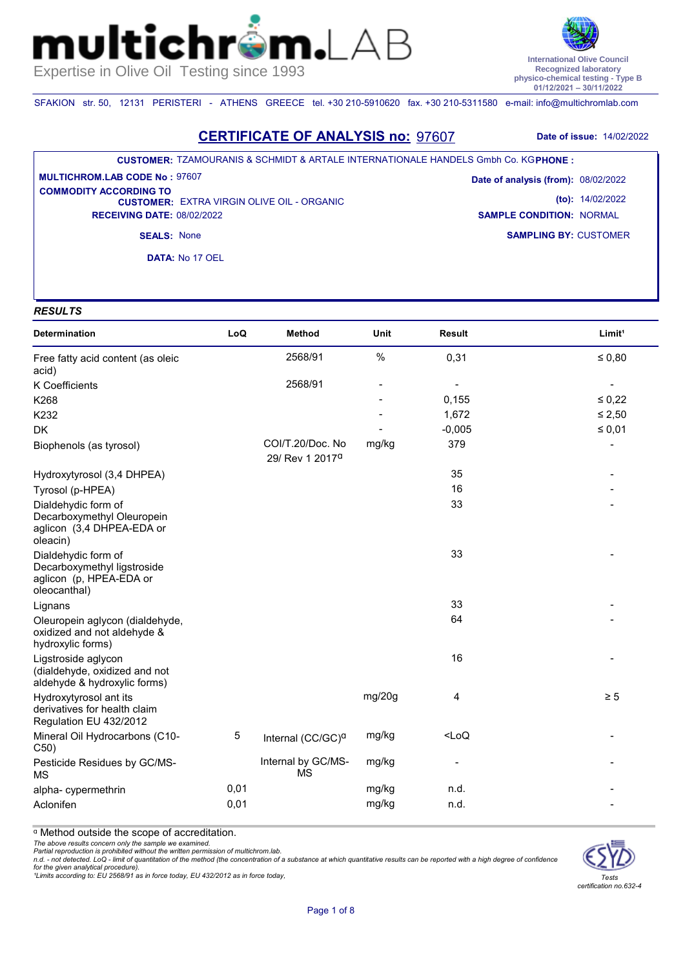It

**International Olive Council Recognized laboratory physico-chemical testing - Type B 01/12/2021 – 30/11/2022**

SFAKION str. 50, 12131 PERISTERI - ATHENS GREECE tel. +30 210-5910620 fax. +30 210-5311580 e-mail: info@multichromlab.com

 $\mathsf{m}\llap{-}$ 

## **CERTIFICATE OF ANALYSIS no:** 97607 **Date of issue:** 14/02/2022

### **CUSTOMER:** TZAMOURANIS & SCHMIDT & ARTALE INTERNATIONALE HANDELS Gmbh Co. KG **PHONE :**

**CUSTOMER: EXTRA VIRGIN OLIVE OIL - ORGANIC RECEIVING DATE:** 08/02/2022 **MULTICHROM.LAB CODE No :** 97607 **COMMODITY ACCORDING TO** 

**SAMPLING BY:** CUSTOMER **Date of analysis (from):** 08/02/2022 **(to):** 14/02/2022 **SAMPLE CONDITION:** NORMAL

**SEALS:** None

**DATA:** Νο 17 OEL

### *RESULTS*

mul

| Determination                                                                                 | LoQ  | <b>Method</b>                                   | <b>Unit</b> | Result   | Limit <sup>1</sup> |
|-----------------------------------------------------------------------------------------------|------|-------------------------------------------------|-------------|----------|--------------------|
| Free fatty acid content (as oleic<br>acid)                                                    |      | 2568/91                                         | $\%$        | 0,31     | $\leq 0,80$        |
| <b>K</b> Coefficients                                                                         |      | 2568/91                                         |             |          |                    |
| K268                                                                                          |      |                                                 |             | 0,155    | $\leq 0.22$        |
| K232                                                                                          |      |                                                 |             | 1,672    | $\leq 2,50$        |
| <b>DK</b>                                                                                     |      |                                                 |             | $-0,005$ | $\leq 0.01$        |
| Biophenols (as tyrosol)                                                                       |      | COI/T.20/Doc. No<br>29/ Rev 1 2017 <sup>a</sup> | mg/kg       | 379      |                    |
| Hydroxytyrosol (3,4 DHPEA)                                                                    |      |                                                 |             | 35       |                    |
| Tyrosol (p-HPEA)                                                                              |      |                                                 |             | 16       |                    |
| Dialdehydic form of<br>Decarboxymethyl Oleuropein<br>aglicon (3,4 DHPEA-EDA or<br>oleacin)    |      |                                                 |             | 33       |                    |
| Dialdehydic form of<br>Decarboxymethyl ligstroside<br>aglicon (p, HPEA-EDA or<br>oleocanthal) |      |                                                 |             | 33       |                    |
| Lignans                                                                                       |      |                                                 |             | 33       |                    |
| Oleuropein aglycon (dialdehyde,<br>oxidized and not aldehyde &<br>hydroxylic forms)           |      |                                                 |             | 64       |                    |
| Ligstroside aglycon<br>(dialdehyde, oxidized and not<br>aldehyde & hydroxylic forms)          |      |                                                 |             | 16       |                    |
| Hydroxytyrosol ant its<br>derivatives for health claim<br>Regulation EU 432/2012              |      |                                                 | mg/20g      | 4        | $\geq 5$           |
| Mineral Oil Hydrocarbons (C10-<br>C50)                                                        | 5    | Internal (CC/GC) <sup>a</sup>                   | mg/kg       | $<$ LoQ  |                    |
| Pesticide Residues by GC/MS-<br><b>MS</b>                                                     |      | Internal by GC/MS-<br>МS                        | mg/kg       |          |                    |
| alpha-cypermethrin                                                                            | 0,01 |                                                 | mg/kg       | n.d.     |                    |
| Aclonifen                                                                                     | 0,01 |                                                 | mg/kg       | n.d.     |                    |

ᵅ Method outside the scope of accreditation.

*The above results concern only the sample we examined.* 

Partial reproduction is prohibited without the written permission of multichrom.lab.<br>n.d. - not detected. LoQ - limit of quantitation of the method (the concentration of a substance at which quantitative results can be rep *for the given analytical procedure). ¹Limits according to: EU 2568/91 as in force today, EU 432/2012 as in force today,*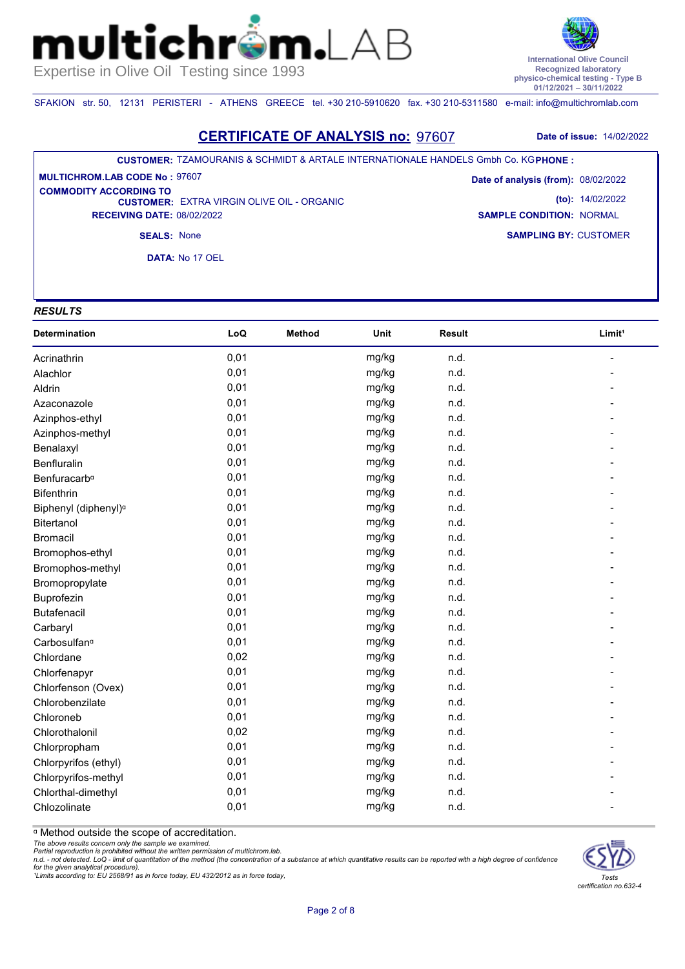

SFAKION str. 50, 12131 PERISTERI - ATHENS GREECE tel. +30 210-5910620 fax. +30 210-5311580 e-mail: info@multichromlab.com

 $\mathbf{n}$ .

## **CERTIFICATE OF ANALYSIS no:** 97607 **Date of issue:** 14/02/2022

#### **CUSTOMER:** TZAMOURANIS & SCHMIDT & ARTALE INTERNATIONALE HANDELS Gmbh Co. KG **PHONE :**

**CUSTOMER: EXTRA VIRGIN OLIVE OIL - ORGANIC RECEIVING DATE:** 08/02/2022 **MULTICHROM.LAB CODE No :** 97607 **COMMODITY ACCORDING TO** 

**SAMPLING BY:** CUSTOMER **Date of analysis (from):** 08/02/2022 **(to):** 14/02/2022 **SAMPLE CONDITION:** NORMAL

**SEALS:** None

**DATA:** Νο 17 OEL

## *RESULTS*

mul

| Determination                    | LoQ  | <b>Method</b> | Unit  | <b>Result</b> | Limit <sup>1</sup> |
|----------------------------------|------|---------------|-------|---------------|--------------------|
| Acrinathrin                      | 0,01 |               | mg/kg | n.d.          |                    |
| Alachlor                         | 0,01 |               | mg/kg | n.d.          |                    |
| Aldrin                           | 0,01 |               | mg/kg | n.d.          |                    |
| Azaconazole                      | 0,01 |               | mg/kg | n.d.          |                    |
| Azinphos-ethyl                   | 0,01 |               | mg/kg | n.d.          |                    |
| Azinphos-methyl                  | 0,01 |               | mg/kg | n.d.          |                    |
| Benalaxyl                        | 0,01 |               | mg/kg | n.d.          |                    |
| Benfluralin                      | 0,01 |               | mg/kg | n.d.          |                    |
| Benfuracarb <sup>a</sup>         | 0,01 |               | mg/kg | n.d.          |                    |
| <b>Bifenthrin</b>                | 0,01 |               | mg/kg | n.d.          |                    |
| Biphenyl (diphenyl) <sup>a</sup> | 0,01 |               | mg/kg | n.d.          |                    |
| Bitertanol                       | 0,01 |               | mg/kg | n.d.          |                    |
| <b>Bromacil</b>                  | 0,01 |               | mg/kg | n.d.          |                    |
| Bromophos-ethyl                  | 0,01 |               | mg/kg | n.d.          |                    |
| Bromophos-methyl                 | 0,01 |               | mg/kg | n.d.          |                    |
| Bromopropylate                   | 0,01 |               | mg/kg | n.d.          |                    |
| Buprofezin                       | 0,01 |               | mg/kg | n.d.          |                    |
| <b>Butafenacil</b>               | 0,01 |               | mg/kg | n.d.          |                    |
| Carbaryl                         | 0,01 |               | mg/kg | n.d.          |                    |
| Carbosulfan <sup>a</sup>         | 0,01 |               | mg/kg | n.d.          |                    |
| Chlordane                        | 0,02 |               | mg/kg | n.d.          |                    |
| Chlorfenapyr                     | 0,01 |               | mg/kg | n.d.          |                    |
| Chlorfenson (Ovex)               | 0,01 |               | mg/kg | n.d.          |                    |
| Chlorobenzilate                  | 0,01 |               | mg/kg | n.d.          |                    |
| Chloroneb                        | 0,01 |               | mg/kg | n.d.          |                    |
| Chlorothalonil                   | 0,02 |               | mg/kg | n.d.          |                    |
| Chlorpropham                     | 0,01 |               | mg/kg | n.d.          |                    |
| Chlorpyrifos (ethyl)             | 0,01 |               | mg/kg | n.d.          |                    |
| Chlorpyrifos-methyl              | 0,01 |               | mg/kg | n.d.          |                    |
| Chlorthal-dimethyl               | 0,01 |               | mg/kg | n.d.          |                    |
| Chlozolinate                     | 0,01 |               | mg/kg | n.d.          |                    |

ᵅ Method outside the scope of accreditation.

*The above results concern only the sample we examined.* 

Partial reproduction is prohibited without the written permission of multichrom.lab.<br>n.d. - not detected. LoQ - limit of quantitation of the method (the concentration of a substance at which quantitative results can be rep *for the given analytical procedure). ¹Limits according to: EU 2568/91 as in force today, EU 432/2012 as in force today,*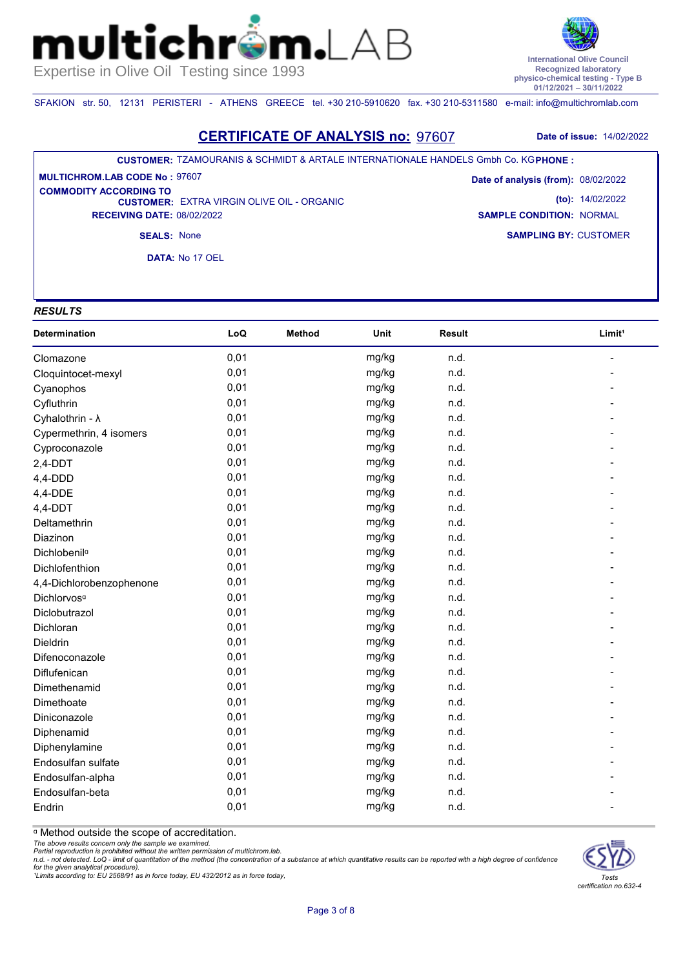

SFAKION str. 50, 12131 PERISTERI - ATHENS GREECE tel. +30 210-5910620 fax. +30 210-5311580 e-mail: info@multichromlab.com

 $\mathsf{n}\mathsf{I}$  /

## **CERTIFICATE OF ANALYSIS no:** 97607 **Date of issue:** 14/02/2022

#### **CUSTOMER:** TZAMOURANIS & SCHMIDT & ARTALE INTERNATIONALE HANDELS Gmbh Co. KG **PHONE :**

**CUSTOMER: EXTRA VIRGIN OLIVE OIL - ORGANIC RECEIVING DATE:** 08/02/2022 **MULTICHROM.LAB CODE No :** 97607 **COMMODITY ACCORDING TO** 

**SAMPLING BY:** CUSTOMER **Date of analysis (from):** 08/02/2022 **(to):** 14/02/2022 **SAMPLE CONDITION:** NORMAL

**SEALS:** None

**DATA:** Νο 17 OEL

## *RESULTS*

mul

| Determination            | LoQ  | <b>Method</b> | Unit  | <b>Result</b> | Limit <sup>1</sup> |
|--------------------------|------|---------------|-------|---------------|--------------------|
| Clomazone                | 0,01 |               | mg/kg | n.d.          |                    |
| Cloquintocet-mexyl       | 0,01 |               | mg/kg | n.d.          |                    |
| Cyanophos                | 0,01 |               | mg/kg | n.d.          |                    |
| Cyfluthrin               | 0,01 |               | mg/kg | n.d.          |                    |
| Cyhalothrin - λ          | 0,01 |               | mg/kg | n.d.          |                    |
| Cypermethrin, 4 isomers  | 0,01 |               | mg/kg | n.d.          |                    |
| Cyproconazole            | 0,01 |               | mg/kg | n.d.          |                    |
| $2,4$ -DDT               | 0,01 |               | mg/kg | n.d.          |                    |
| $4,4-DDD$                | 0,01 |               | mg/kg | n.d.          |                    |
| 4,4-DDE                  | 0,01 |               | mg/kg | n.d.          |                    |
| $4,4-DDT$                | 0,01 |               | mg/kg | n.d.          |                    |
| Deltamethrin             | 0,01 |               | mg/kg | n.d.          |                    |
| Diazinon                 | 0,01 |               | mg/kg | n.d.          |                    |
| Dichlobenil <sup>a</sup> | 0,01 |               | mg/kg | n.d.          |                    |
| Dichlofenthion           | 0,01 |               | mg/kg | n.d.          |                    |
| 4,4-Dichlorobenzophenone | 0,01 |               | mg/kg | n.d.          |                    |
| Dichlorvos <sup>a</sup>  | 0,01 |               | mg/kg | n.d.          |                    |
| Diclobutrazol            | 0,01 |               | mg/kg | n.d.          |                    |
| Dichloran                | 0,01 |               | mg/kg | n.d.          |                    |
| Dieldrin                 | 0,01 |               | mg/kg | n.d.          |                    |
| Difenoconazole           | 0,01 |               | mg/kg | n.d.          |                    |
| <b>Diflufenican</b>      | 0,01 |               | mg/kg | n.d.          |                    |
| Dimethenamid             | 0,01 |               | mg/kg | n.d.          |                    |
| Dimethoate               | 0,01 |               | mg/kg | n.d.          |                    |
| Diniconazole             | 0,01 |               | mg/kg | n.d.          |                    |
| Diphenamid               | 0,01 |               | mg/kg | n.d.          |                    |
| Diphenylamine            | 0,01 |               | mg/kg | n.d.          |                    |
| Endosulfan sulfate       | 0,01 |               | mg/kg | n.d.          |                    |
| Endosulfan-alpha         | 0,01 |               | mg/kg | n.d.          |                    |
| Endosulfan-beta          | 0,01 |               | mg/kg | n.d.          |                    |
| Endrin                   | 0,01 |               | mg/kg | n.d.          |                    |

ᵅ Method outside the scope of accreditation.

*The above results concern only the sample we examined.* 

Partial reproduction is prohibited without the written permission of multichrom.lab.<br>n.d. - not detected. LoQ - limit of quantitation of the method (the concentration of a substance at which quantitative results can be rep *for the given analytical procedure). ¹Limits according to: EU 2568/91 as in force today, EU 432/2012 as in force today,* 

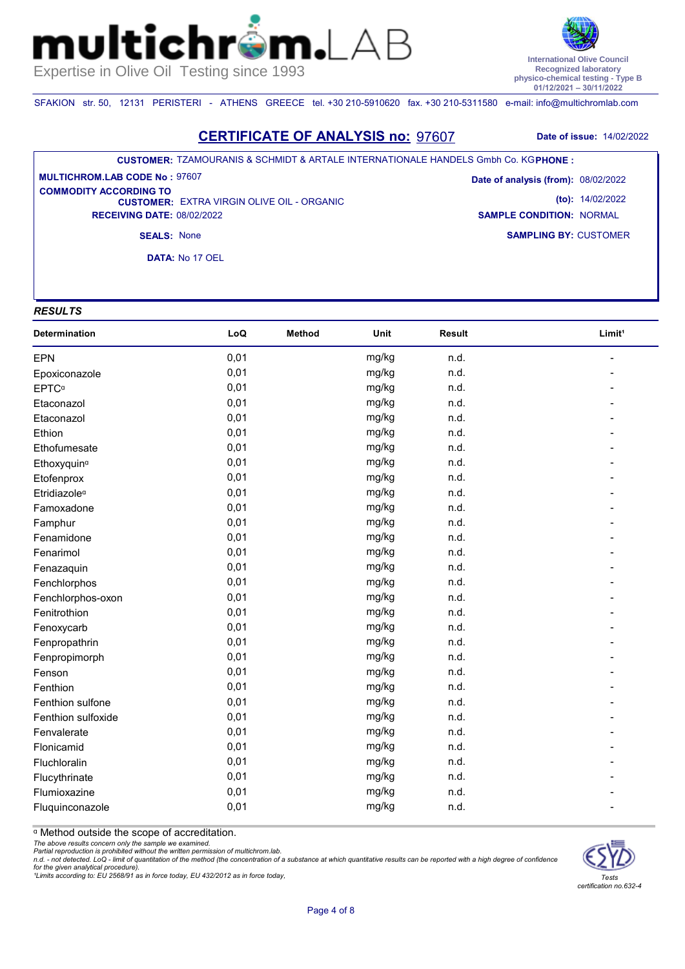

SFAKION str. 50, 12131 PERISTERI - ATHENS GREECE tel. +30 210-5910620 fax. +30 210-5311580 e-mail: info@multichromlab.com

 $\mathsf{n}\mathsf{I}$  /

## **CERTIFICATE OF ANALYSIS no:** 97607 **Date of issue:** 14/02/2022

#### **CUSTOMER:** TZAMOURANIS & SCHMIDT & ARTALE INTERNATIONALE HANDELS Gmbh Co. KG **PHONE :**

**CUSTOMER: EXTRA VIRGIN OLIVE OIL - ORGANIC RECEIVING DATE:** 08/02/2022 **MULTICHROM.LAB CODE No :** 97607 **COMMODITY ACCORDING TO** 

**SAMPLING BY:** CUSTOMER **Date of analysis (from):** 08/02/2022 **(to):** 14/02/2022 **SAMPLE CONDITION:** NORMAL

**SEALS:** None

**DATA:** Νο 17 OEL

### *RESULTS*

mul

| Determination            | LoQ  | <b>Method</b> | Unit  | <b>Result</b> | Limit <sup>1</sup> |
|--------------------------|------|---------------|-------|---------------|--------------------|
| EPN                      | 0,01 |               | mg/kg | n.d.          |                    |
| Epoxiconazole            | 0,01 |               | mg/kg | n.d.          |                    |
| <b>EPTC</b> <sup>a</sup> | 0,01 |               | mg/kg | n.d.          |                    |
| Etaconazol               | 0,01 |               | mg/kg | n.d.          |                    |
| Etaconazol               | 0,01 |               | mg/kg | n.d.          |                    |
| Ethion                   | 0,01 |               | mg/kg | n.d.          |                    |
| Ethofumesate             | 0,01 |               | mg/kg | n.d.          |                    |
| Ethoxyquin <sup>a</sup>  | 0,01 |               | mg/kg | n.d.          |                    |
| Etofenprox               | 0,01 |               | mg/kg | n.d.          |                    |
| Etridiazole <sup>a</sup> | 0,01 |               | mg/kg | n.d.          |                    |
| Famoxadone               | 0,01 |               | mg/kg | n.d.          |                    |
| Famphur                  | 0,01 |               | mg/kg | n.d.          |                    |
| Fenamidone               | 0,01 |               | mg/kg | n.d.          |                    |
| Fenarimol                | 0,01 |               | mg/kg | n.d.          |                    |
| Fenazaquin               | 0,01 |               | mg/kg | n.d.          |                    |
| Fenchlorphos             | 0,01 |               | mg/kg | n.d.          |                    |
| Fenchlorphos-oxon        | 0,01 |               | mg/kg | n.d.          |                    |
| Fenitrothion             | 0,01 |               | mg/kg | n.d.          |                    |
| Fenoxycarb               | 0,01 |               | mg/kg | n.d.          |                    |
| Fenpropathrin            | 0,01 |               | mg/kg | n.d.          |                    |
| Fenpropimorph            | 0,01 |               | mg/kg | n.d.          |                    |
| Fenson                   | 0,01 |               | mg/kg | n.d.          |                    |
| Fenthion                 | 0,01 |               | mg/kg | n.d.          |                    |
| Fenthion sulfone         | 0,01 |               | mg/kg | n.d.          |                    |
| Fenthion sulfoxide       | 0,01 |               | mg/kg | n.d.          |                    |
| Fenvalerate              | 0,01 |               | mg/kg | n.d.          |                    |
| Flonicamid               | 0,01 |               | mg/kg | n.d.          |                    |
| Fluchloralin             | 0,01 |               | mg/kg | n.d.          |                    |
| Flucythrinate            | 0,01 |               | mg/kg | n.d.          |                    |
| Flumioxazine             | 0,01 |               | mg/kg | n.d.          |                    |
| Fluquinconazole          | 0,01 |               | mg/kg | n.d.          |                    |

ᵅ Method outside the scope of accreditation.

*The above results concern only the sample we examined.* 

Partial reproduction is prohibited without the written permission of multichrom.lab.<br>n.d. - not detected. LoQ - limit of quantitation of the method (the concentration of a substance at which quantitative results can be rep *for the given analytical procedure). ¹Limits according to: EU 2568/91 as in force today, EU 432/2012 as in force today,* 

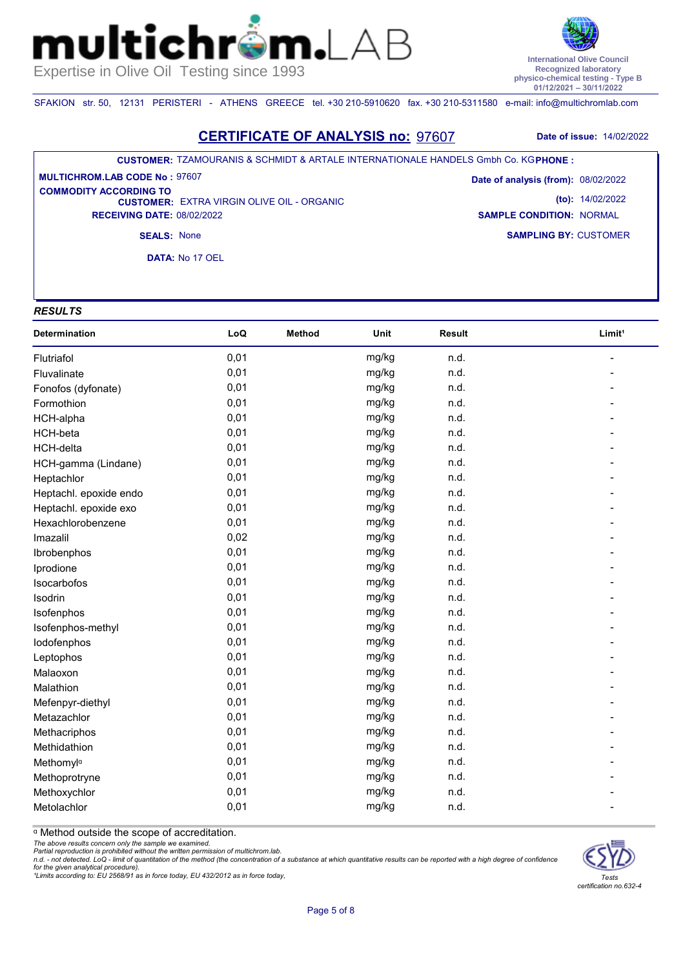

SFAKION str. 50, 12131 PERISTERI - ATHENS GREECE tel. +30 210-5910620 fax. +30 210-5311580 e-mail: info@multichromlab.com

 $\mathsf{n}\mathsf{I}$  /

## **CERTIFICATE OF ANALYSIS no:** 97607 **Date of issue:** 14/02/2022

#### **CUSTOMER:** TZAMOURANIS & SCHMIDT & ARTALE INTERNATIONALE HANDELS Gmbh Co. KG **PHONE :**

**CUSTOMER: EXTRA VIRGIN OLIVE OIL - ORGANIC RECEIVING DATE:** 08/02/2022 **MULTICHROM.LAB CODE No :** 97607 **COMMODITY ACCORDING TO** 

**SAMPLING BY:** CUSTOMER **Date of analysis (from):** 08/02/2022 **(to):** 14/02/2022 **SAMPLE CONDITION:** NORMAL

**SEALS:** None

**DATA:** Νο 17 OEL

## *RESULTS*

mul

| Determination          | LoQ  | <b>Method</b> | Unit  | <b>Result</b> | Limit <sup>1</sup> |
|------------------------|------|---------------|-------|---------------|--------------------|
| Flutriafol             | 0,01 |               | mg/kg | n.d.          |                    |
| Fluvalinate            | 0,01 |               | mg/kg | n.d.          |                    |
| Fonofos (dyfonate)     | 0,01 |               | mg/kg | n.d.          |                    |
| Formothion             | 0,01 |               | mg/kg | n.d.          |                    |
| HCH-alpha              | 0,01 |               | mg/kg | n.d.          |                    |
| HCH-beta               | 0,01 |               | mg/kg | n.d.          |                    |
| HCH-delta              | 0,01 |               | mg/kg | n.d.          |                    |
| HCH-gamma (Lindane)    | 0,01 |               | mg/kg | n.d.          |                    |
| Heptachlor             | 0,01 |               | mg/kg | n.d.          |                    |
| Heptachl. epoxide endo | 0,01 |               | mg/kg | n.d.          |                    |
| Heptachl. epoxide exo  | 0,01 |               | mg/kg | n.d.          |                    |
| Hexachlorobenzene      | 0,01 |               | mg/kg | n.d.          |                    |
| Imazalil               | 0,02 |               | mg/kg | n.d.          |                    |
| Ibrobenphos            | 0,01 |               | mg/kg | n.d.          |                    |
| Iprodione              | 0,01 |               | mg/kg | n.d.          |                    |
| Isocarbofos            | 0,01 |               | mg/kg | n.d.          |                    |
| Isodrin                | 0,01 |               | mg/kg | n.d.          |                    |
| Isofenphos             | 0,01 |               | mg/kg | n.d.          |                    |
| Isofenphos-methyl      | 0,01 |               | mg/kg | n.d.          |                    |
| lodofenphos            | 0,01 |               | mg/kg | n.d.          |                    |
| Leptophos              | 0,01 |               | mg/kg | n.d.          |                    |
| Malaoxon               | 0,01 |               | mg/kg | n.d.          |                    |
| Malathion              | 0,01 |               | mg/kg | n.d.          |                    |
| Mefenpyr-diethyl       | 0,01 |               | mg/kg | n.d.          |                    |
| Metazachlor            | 0,01 |               | mg/kg | n.d.          |                    |
| Methacriphos           | 0,01 |               | mg/kg | n.d.          |                    |
| Methidathion           | 0,01 |               | mg/kg | n.d.          |                    |
| Methomyla              | 0,01 |               | mg/kg | n.d.          |                    |
| Methoprotryne          | 0,01 |               | mg/kg | n.d.          |                    |
| Methoxychlor           | 0,01 |               | mg/kg | n.d.          |                    |
| Metolachlor            | 0,01 |               | mg/kg | n.d.          |                    |

ᵅ Method outside the scope of accreditation.

*The above results concern only the sample we examined.* 

Partial reproduction is prohibited without the written permission of multichrom.lab.<br>n.d. - not detected. LoQ - limit of quantitation of the method (the concentration of a substance at which quantitative results can be rep *for the given analytical procedure). ¹Limits according to: EU 2568/91 as in force today, EU 432/2012 as in force today,*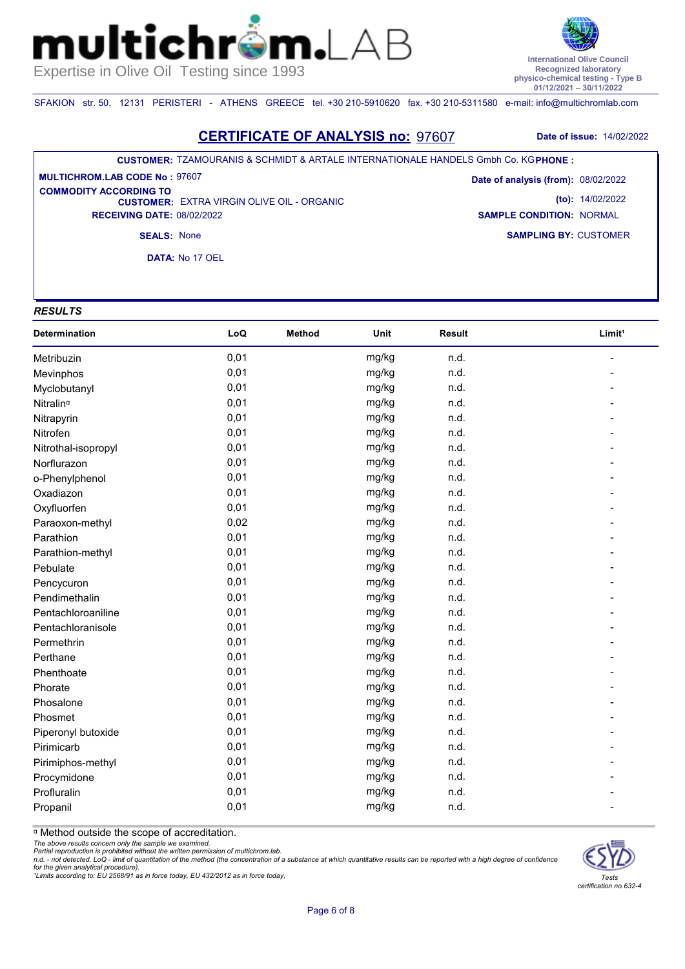

SFAKION str. 50, 12131 PERISTERI - ATHENS GREECE tel. +30 210-5910620 fax. +30 210-5311580 e-mail: info@multichromlab.com

 $\mathsf{m}.$ 

## **CERTIFICATE OF ANALYSIS no:** 97607 **Date of issue:** 14/02/2022

#### **CUSTOMER:** TZAMOURANIS & SCHMIDT & ARTALE INTERNATIONALE HANDELS Gmbh Co. KG **PHONE :**

**CUSTOMER: EXTRA VIRGIN OLIVE OIL - ORGANIC RECEIVING DATE:** 08/02/2022 **MULTICHROM.LAB CODE No :** 97607 **COMMODITY ACCORDING TO** 

**SAMPLING BY:** CUSTOMER **Date of analysis (from):** 08/02/2022 **(to):** 14/02/2022 **SAMPLE CONDITION:** NORMAL

**SEALS:** None

**DATA:** Νο 17 OEL

## *RESULTS*

mul

| Determination         | LoQ  | Method | Unit  | <b>Result</b> | Limit <sup>1</sup> |
|-----------------------|------|--------|-------|---------------|--------------------|
| Metribuzin            | 0,01 |        | mg/kg | n.d.          |                    |
| Mevinphos             | 0,01 |        | mg/kg | n.d.          |                    |
| Myclobutanyl          | 0,01 |        | mg/kg | n.d.          |                    |
| Nitralin <sup>a</sup> | 0,01 |        | mg/kg | n.d.          |                    |
| Nitrapyrin            | 0,01 |        | mg/kg | n.d.          |                    |
| Nitrofen              | 0,01 |        | mg/kg | n.d.          |                    |
| Nitrothal-isopropyl   | 0,01 |        | mg/kg | n.d.          |                    |
| Norflurazon           | 0,01 |        | mg/kg | n.d.          |                    |
| o-Phenylphenol        | 0,01 |        | mg/kg | n.d.          |                    |
| Oxadiazon             | 0,01 |        | mg/kg | n.d.          |                    |
| Oxyfluorfen           | 0,01 |        | mg/kg | n.d.          |                    |
| Paraoxon-methyl       | 0,02 |        | mg/kg | n.d.          |                    |
| Parathion             | 0,01 |        | mg/kg | n.d.          |                    |
| Parathion-methyl      | 0,01 |        | mg/kg | n.d.          |                    |
| Pebulate              | 0,01 |        | mg/kg | n.d.          |                    |
| Pencycuron            | 0,01 |        | mg/kg | n.d.          |                    |
| Pendimethalin         | 0,01 |        | mg/kg | n.d.          |                    |
| Pentachloroaniline    | 0,01 |        | mg/kg | n.d.          |                    |
| Pentachloranisole     | 0,01 |        | mg/kg | n.d.          |                    |
| Permethrin            | 0,01 |        | mg/kg | n.d.          |                    |
| Perthane              | 0,01 |        | mg/kg | n.d.          |                    |
| Phenthoate            | 0,01 |        | mg/kg | n.d.          |                    |
| Phorate               | 0,01 |        | mg/kg | n.d.          |                    |
| Phosalone             | 0,01 |        | mg/kg | n.d.          |                    |
| Phosmet               | 0,01 |        | mg/kg | n.d.          |                    |
| Piperonyl butoxide    | 0,01 |        | mg/kg | n.d.          |                    |
| Pirimicarb            | 0,01 |        | mg/kg | n.d.          |                    |
| Pirimiphos-methyl     | 0,01 |        | mg/kg | n.d.          |                    |
| Procymidone           | 0,01 |        | mg/kg | n.d.          |                    |
| Profluralin           | 0,01 |        | mg/kg | n.d.          |                    |
| Propanil              | 0,01 |        | mg/kg | n.d.          |                    |

ᵅ Method outside the scope of accreditation.

*The above results concern only the sample we examined.* 

Partial reproduction is prohibited without the written permission of multichrom.lab.<br>n.d. - not detected. LoQ - limit of quantitation of the method (the concentration of a substance at which quantitative results can be rep *for the given analytical procedure). ¹Limits according to: EU 2568/91 as in force today, EU 432/2012 as in force today,*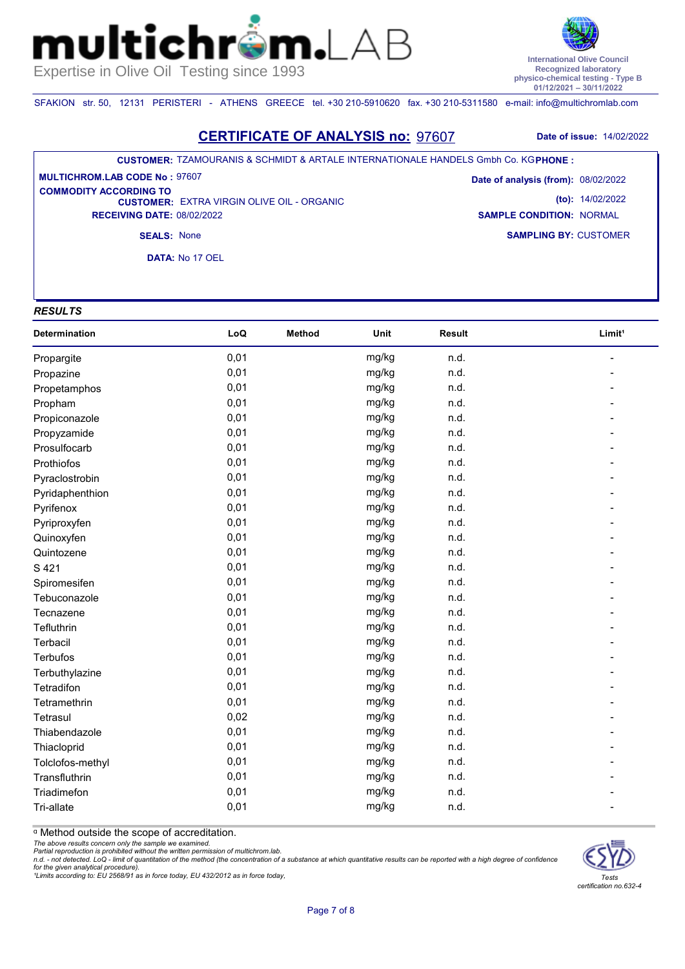

SFAKION str. 50, 12131 PERISTERI - ATHENS GREECE tel. +30 210-5910620 fax. +30 210-5311580 e-mail: info@multichromlab.com

 $\mathsf{n}\,$ 

## **CERTIFICATE OF ANALYSIS no:** 97607 **Date of issue:** 14/02/2022

#### **CUSTOMER:** TZAMOURANIS & SCHMIDT & ARTALE INTERNATIONALE HANDELS Gmbh Co. KG **PHONE :**

**CUSTOMER: EXTRA VIRGIN OLIVE OIL - ORGANIC RECEIVING DATE:** 08/02/2022 **MULTICHROM.LAB CODE No :** 97607 **COMMODITY ACCORDING TO** 

**SAMPLING BY:** CUSTOMER **Date of analysis (from):** 08/02/2022 **(to):** 14/02/2022 **SAMPLE CONDITION:** NORMAL

**SEALS:** None

**DATA:** Νο 17 OEL

## *RESULTS*

mul

| Determination    | LoQ  | Method | Unit  | Result | Limit <sup>1</sup> |
|------------------|------|--------|-------|--------|--------------------|
| Propargite       | 0,01 |        | mg/kg | n.d.   |                    |
| Propazine        | 0,01 |        | mg/kg | n.d.   |                    |
| Propetamphos     | 0,01 |        | mg/kg | n.d.   |                    |
| Propham          | 0,01 |        | mg/kg | n.d.   |                    |
| Propiconazole    | 0,01 |        | mg/kg | n.d.   |                    |
| Propyzamide      | 0,01 |        | mg/kg | n.d.   |                    |
| Prosulfocarb     | 0,01 |        | mg/kg | n.d.   |                    |
| Prothiofos       | 0,01 |        | mg/kg | n.d.   |                    |
| Pyraclostrobin   | 0,01 |        | mg/kg | n.d.   |                    |
| Pyridaphenthion  | 0,01 |        | mg/kg | n.d.   |                    |
| Pyrifenox        | 0,01 |        | mg/kg | n.d.   |                    |
| Pyriproxyfen     | 0,01 |        | mg/kg | n.d.   |                    |
| Quinoxyfen       | 0,01 |        | mg/kg | n.d.   |                    |
| Quintozene       | 0,01 |        | mg/kg | n.d.   |                    |
| S 421            | 0,01 |        | mg/kg | n.d.   |                    |
| Spiromesifen     | 0,01 |        | mg/kg | n.d.   |                    |
| Tebuconazole     | 0,01 |        | mg/kg | n.d.   |                    |
| Tecnazene        | 0,01 |        | mg/kg | n.d.   |                    |
| Tefluthrin       | 0,01 |        | mg/kg | n.d.   |                    |
| <b>Terbacil</b>  | 0,01 |        | mg/kg | n.d.   |                    |
| <b>Terbufos</b>  | 0,01 |        | mg/kg | n.d.   |                    |
| Terbuthylazine   | 0,01 |        | mg/kg | n.d.   |                    |
| Tetradifon       | 0,01 |        | mg/kg | n.d.   |                    |
| Tetramethrin     | 0,01 |        | mg/kg | n.d.   |                    |
| Tetrasul         | 0,02 |        | mg/kg | n.d.   |                    |
| Thiabendazole    | 0,01 |        | mg/kg | n.d.   |                    |
| Thiacloprid      | 0,01 |        | mg/kg | n.d.   |                    |
| Tolclofos-methyl | 0,01 |        | mg/kg | n.d.   |                    |
| Transfluthrin    | 0,01 |        | mg/kg | n.d.   |                    |
| Triadimefon      | 0,01 |        | mg/kg | n.d.   |                    |
| Tri-allate       | 0,01 |        | mg/kg | n.d.   |                    |

ᵅ Method outside the scope of accreditation.

*The above results concern only the sample we examined.* 

Partial reproduction is prohibited without the written permission of multichrom.lab.<br>n.d. - not detected. LoQ - limit of quantitation of the method (the concentration of a substance at which quantitative results can be rep *for the given analytical procedure). ¹Limits according to: EU 2568/91 as in force today, EU 432/2012 as in force today,*